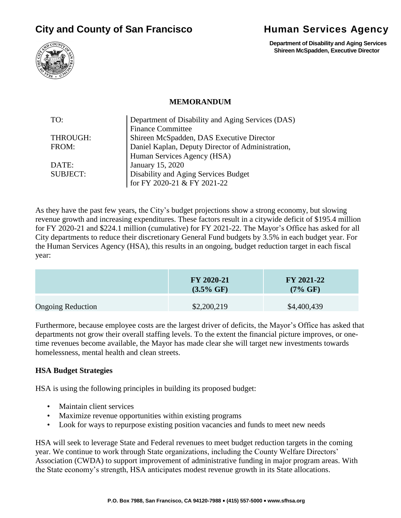# **City and County of San Francisco <b>Human Services Agency**



 **Department of Disability and Aging Services Shireen McSpadden, Executive Director**

#### **MEMORANDUM**

| TO:             | Department of Disability and Aging Services (DAS) |  |
|-----------------|---------------------------------------------------|--|
|                 | <b>Finance Committee</b>                          |  |
| THROUGH:        | Shireen McSpadden, DAS Executive Director         |  |
| FROM:           | Daniel Kaplan, Deputy Director of Administration, |  |
|                 | Human Services Agency (HSA)                       |  |
| DATE:           | January 15, 2020                                  |  |
| <b>SUBJECT:</b> | Disability and Aging Services Budget              |  |
|                 | for FY 2020-21 & FY 2021-22                       |  |

As they have the past few years, the City's budget projections show a strong economy, but slowing revenue growth and increasing expenditures. These factors result in a citywide deficit of \$195.4 million for FY 2020-21 and \$224.1 million (cumulative) for FY 2021-22. The Mayor's Office has asked for all City departments to reduce their discretionary General Fund budgets by 3.5% in each budget year. For the Human Services Agency (HSA), this results in an ongoing, budget reduction target in each fiscal year:

|                          | FY 2020-21<br>$(3.5\% \text{ GF})$ | FY 2021-22<br>$(7\% \text{ GF})$ |
|--------------------------|------------------------------------|----------------------------------|
| <b>Ongoing Reduction</b> | \$2,200,219                        | \$4,400,439                      |

Furthermore, because employee costs are the largest driver of deficits, the Mayor's Office has asked that departments not grow their overall staffing levels. To the extent the financial picture improves, or onetime revenues become available, the Mayor has made clear she will target new investments towards homelessness, mental health and clean streets.

#### **HSA Budget Strategies**

HSA is using the following principles in building its proposed budget:

- Maintain client services
- Maximize revenue opportunities within existing programs
- Look for ways to repurpose existing position vacancies and funds to meet new needs

HSA will seek to leverage State and Federal revenues to meet budget reduction targets in the coming year. We continue to work through State organizations, including the County Welfare Directors' Association (CWDA) to support improvement of administrative funding in major program areas. With the State economy's strength, HSA anticipates modest revenue growth in its State allocations.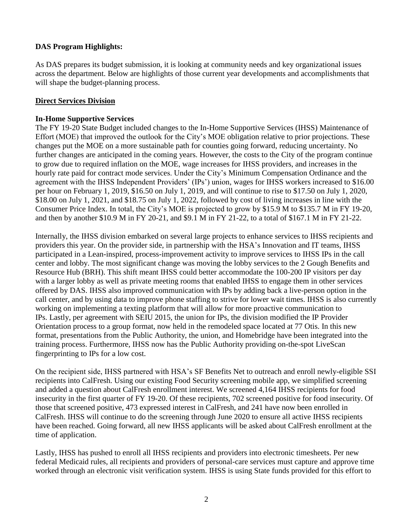# **DAS Program Highlights:**

As DAS prepares its budget submission, it is looking at community needs and key organizational issues across the department. Below are highlights of those current year developments and accomplishments that will shape the budget-planning process.

## **Direct Services Division**

### **In-Home Supportive Services**

The FY 19-20 State Budget included changes to the In-Home Supportive Services (IHSS) Maintenance of Effort (MOE) that improved the outlook for the City's MOE obligation relative to prior projections. These changes put the MOE on a more sustainable path for counties going forward, reducing uncertainty. No further changes are anticipated in the coming years. However, the costs to the City of the program continue to grow due to required inflation on the MOE, wage increases for IHSS providers, and increases in the hourly rate paid for contract mode services. Under the City's Minimum Compensation Ordinance and the agreement with the IHSS Independent Providers' (IPs') union, wages for IHSS workers increased to \$16.00 per hour on February 1, 2019, \$16.50 on July 1, 2019, and will continue to rise to \$17.50 on July 1, 2020, \$18.00 on July 1, 2021, and \$18.75 on July 1, 2022, followed by cost of living increases in line with the Consumer Price Index. In total, the City's MOE is projected to grow by \$15.9 M to \$135.7 M in FY 19-20, and then by another \$10.9 M in FY 20-21, and \$9.1 M in FY 21-22, to a total of \$167.1 M in FY 21-22.

Internally, the IHSS division embarked on several large projects to enhance services to IHSS recipients and providers this year. On the provider side, in partnership with the HSA's Innovation and IT teams, IHSS participated in a Lean-inspired, process-improvement activity to improve services to IHSS IPs in the call center and lobby. The most significant change was moving the lobby services to the 2 Gough Benefits and Resource Hub (BRH). This shift meant IHSS could better accommodate the 100-200 IP visitors per day with a larger lobby as well as private meeting rooms that enabled IHSS to engage them in other services offered by DAS. IHSS also improved communication with IPs by adding back a live-person option in the call center, and by using data to improve phone staffing to strive for lower wait times. IHSS is also currently working on implementing a texting platform that will allow for more proactive communication to IPs. Lastly, per agreement with SEIU 2015, the union for IPs, the division modified the IP Provider Orientation process to a group format, now held in the remodeled space located at 77 Otis. In this new format, presentations from the Public Authority, the union, and Homebridge have been integrated into the training process. Furthermore, IHSS now has the Public Authority providing on-the-spot LiveScan fingerprinting to IPs for a low cost.

On the recipient side, IHSS partnered with HSA's SF Benefits Net to outreach and enroll newly-eligible SSI recipients into CalFresh. Using our existing Food Security screening mobile app, we simplified screening and added a question about CalFresh enrollment interest. We screened 4,164 IHSS recipients for food insecurity in the first quarter of FY 19-20. Of these recipients, 702 screened positive for food insecurity. Of those that screened positive, 473 expressed interest in CalFresh, and 241 have now been enrolled in CalFresh. IHSS will continue to do the screening through June 2020 to ensure all active IHSS recipients have been reached. Going forward, all new IHSS applicants will be asked about CalFresh enrollment at the time of application.

Lastly, IHSS has pushed to enroll all IHSS recipients and providers into electronic timesheets. Per new federal Medicaid rules, all recipients and providers of personal-care services must capture and approve time worked through an electronic visit verification system. IHSS is using State funds provided for this effort to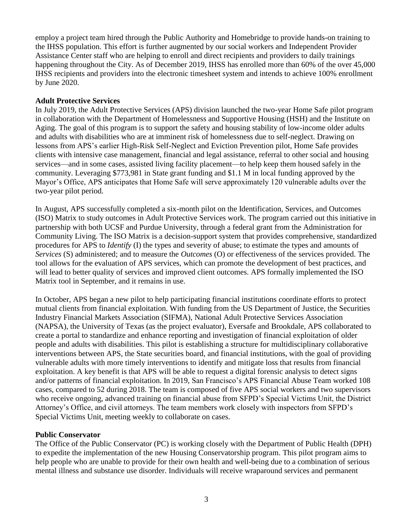employ a project team hired through the Public Authority and Homebridge to provide hands-on training to the IHSS population. This effort is further augmented by our social workers and Independent Provider Assistance Center staff who are helping to enroll and direct recipients and providers to daily trainings happening throughout the City. As of December 2019, IHSS has enrolled more than 60% of the over 45,000 IHSS recipients and providers into the electronic timesheet system and intends to achieve 100% enrollment by June 2020.

## **Adult Protective Services**

In July 2019, the Adult Protective Services (APS) division launched the two-year Home Safe pilot program in collaboration with the Department of Homelessness and Supportive Housing (HSH) and the Institute on Aging. The goal of this program is to support the safety and housing stability of low-income older adults and adults with disabilities who are at imminent risk of homelessness due to self-neglect. Drawing on lessons from APS's earlier High-Risk Self-Neglect and Eviction Prevention pilot, Home Safe provides clients with intensive case management, financial and legal assistance, referral to other social and housing services—and in some cases, assisted living facility placement—to help keep them housed safely in the community. Leveraging \$773,981 in State grant funding and \$1.1 M in local funding approved by the Mayor's Office, APS anticipates that Home Safe will serve approximately 120 vulnerable adults over the two-year pilot period.

In August, APS successfully completed a six-month pilot on the Identification, Services, and Outcomes (ISO) Matrix to study outcomes in Adult Protective Services work. The program carried out this initiative in partnership with both UCSF and Purdue University, through a federal grant from the Administration for Community Living. The ISO Matrix is a decision-support system that provides comprehensive, standardized procedures for APS to *Identify* (I) the types and severity of abuse; to estimate the types and amounts of *Services* (S) administered; and to measure the *Outcomes* (O) or effectiveness of the services provided. The tool allows for the evaluation of APS services, which can promote the development of best practices, and will lead to better quality of services and improved client outcomes. APS formally implemented the ISO Matrix tool in September, and it remains in use.

In October, APS began a new pilot to help participating financial institutions coordinate efforts to protect mutual clients from financial exploitation. With funding from the US Department of Justice, the Securities Industry Financial Markets Association (SIFMA), National Adult Protective Services Association (NAPSA), the University of Texas (as the project evaluator), Eversafe and Brookdale, APS collaborated to create a portal to standardize and enhance reporting and investigation of financial exploitation of older people and adults with disabilities. This pilot is establishing a structure for multidisciplinary collaborative interventions between APS, the State securities board, and financial institutions, with the goal of providing vulnerable adults with more timely interventions to identify and mitigate loss that results from financial exploitation. A key benefit is that APS will be able to request a digital forensic analysis to detect signs and/or patterns of financial exploitation. In 2019, San Francisco's APS Financial Abuse Team worked 108 cases, compared to 52 during 2018. The team is composed of five APS social workers and two supervisors who receive ongoing, advanced training on financial abuse from SFPD's Special Victims Unit, the District Attorney's Office, and civil attorneys. The team members work closely with inspectors from SFPD's Special Victims Unit, meeting weekly to collaborate on cases.

#### **Public Conservator**

The Office of the Public Conservator (PC) is working closely with the Department of Public Health (DPH) to expedite the implementation of the new Housing Conservatorship program. This pilot program aims to help people who are unable to provide for their own health and well-being due to a combination of serious mental illness and substance use disorder. Individuals will receive wraparound services and permanent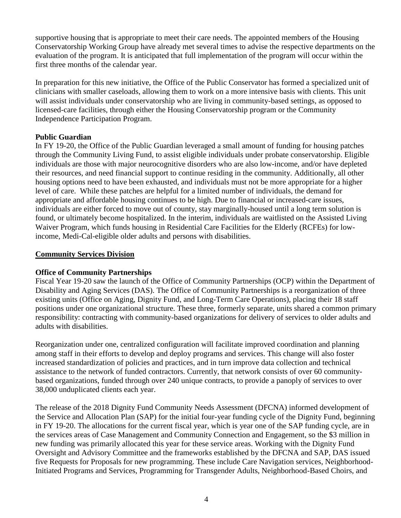supportive housing that is appropriate to meet their care needs. The appointed members of the Housing Conservatorship Working Group have already met several times to advise the respective departments on the evaluation of the program. It is anticipated that full implementation of the program will occur within the first three months of the calendar year.

In preparation for this new initiative, the Office of the Public Conservator has formed a specialized unit of clinicians with smaller caseloads, allowing them to work on a more intensive basis with clients. This unit will assist individuals under conservatorship who are living in community-based settings, as opposed to licensed-care facilities, through either the Housing Conservatorship program or the Community Independence Participation Program.

## **Public Guardian**

In FY 19-20, the Office of the Public Guardian leveraged a small amount of funding for housing patches through the Community Living Fund, to assist eligible individuals under probate conservatorship. Eligible individuals are those with major neurocognitive disorders who are also low-income, and/or have depleted their resources, and need financial support to continue residing in the community. Additionally, all other housing options need to have been exhausted, and individuals must not be more appropriate for a higher level of care. While these patches are helpful for a limited number of individuals, the demand for appropriate and affordable housing continues to be high. Due to financial or increased-care issues, individuals are either forced to move out of county, stay marginally-housed until a long term solution is found, or ultimately become hospitalized. In the interim, individuals are waitlisted on the Assisted Living Waiver Program, which funds housing in Residential Care Facilities for the Elderly (RCFEs) for lowincome, Medi-Cal-eligible older adults and persons with disabilities.

## **Community Services Division**

# **Office of Community Partnerships**

Fiscal Year 19-20 saw the launch of the Office of Community Partnerships (OCP) within the Department of Disability and Aging Services (DAS). The Office of Community Partnerships is a reorganization of three existing units (Office on Aging, Dignity Fund, and Long-Term Care Operations), placing their 18 staff positions under one organizational structure. These three, formerly separate, units shared a common primary responsibility: contracting with community-based organizations for delivery of services to older adults and adults with disabilities.

Reorganization under one, centralized configuration will facilitate improved coordination and planning among staff in their efforts to develop and deploy programs and services. This change will also foster increased standardization of policies and practices, and in turn improve data collection and technical assistance to the network of funded contractors. Currently, that network consists of over 60 communitybased organizations, funded through over 240 unique contracts, to provide a panoply of services to over 38,000 unduplicated clients each year.

The release of the 2018 Dignity Fund Community Needs Assessment (DFCNA) informed development of the Service and Allocation Plan (SAP) for the initial four-year funding cycle of the Dignity Fund, beginning in FY 19-20. The allocations for the current fiscal year, which is year one of the SAP funding cycle, are in the services areas of Case Management and Community Connection and Engagement, so the \$3 million in new funding was primarily allocated this year for these service areas. Working with the Dignity Fund Oversight and Advisory Committee and the frameworks established by the DFCNA and SAP, DAS issued five Requests for Proposals for new programming. These include Care Navigation services, Neighborhood-Initiated Programs and Services, Programming for Transgender Adults, Neighborhood-Based Choirs, and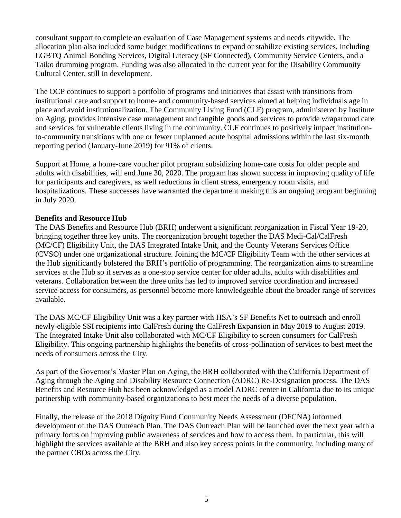consultant support to complete an evaluation of Case Management systems and needs citywide. The allocation plan also included some budget modifications to expand or stabilize existing services, including LGBTQ Animal Bonding Services, Digital Literacy (SF Connected), Community Service Centers, and a Taiko drumming program. Funding was also allocated in the current year for the Disability Community Cultural Center, still in development.

The OCP continues to support a portfolio of programs and initiatives that assist with transitions from institutional care and support to home- and community-based services aimed at helping individuals age in place and avoid institutionalization. The Community Living Fund (CLF) program, administered by Institute on Aging, provides intensive case management and tangible goods and services to provide wraparound care and services for vulnerable clients living in the community. CLF continues to positively impact institutionto-community transitions with one or fewer unplanned acute hospital admissions within the last six-month reporting period (January-June 2019) for 91% of clients.

Support at Home, a home-care voucher pilot program subsidizing home-care costs for older people and adults with disabilities, will end June 30, 2020. The program has shown success in improving quality of life for participants and caregivers, as well reductions in client stress, emergency room visits, and hospitalizations. These successes have warranted the department making this an ongoing program beginning in July 2020.

## **Benefits and Resource Hub**

The DAS Benefits and Resource Hub (BRH) underwent a significant reorganization in Fiscal Year 19-20, bringing together three key units. The reorganization brought together the DAS Medi-Cal/CalFresh (MC/CF) Eligibility Unit, the DAS Integrated Intake Unit, and the County Veterans Services Office (CVSO) under one organizational structure. Joining the MC/CF Eligibility Team with the other services at the Hub significantly bolstered the BRH's portfolio of programming. The reorganization aims to streamline services at the Hub so it serves as a one-stop service center for older adults, adults with disabilities and veterans. Collaboration between the three units has led to improved service coordination and increased service access for consumers, as personnel become more knowledgeable about the broader range of services available.

The DAS MC/CF Eligibility Unit was a key partner with HSA's SF Benefits Net to outreach and enroll newly-eligible SSI recipients into CalFresh during the CalFresh Expansion in May 2019 to August 2019. The Integrated Intake Unit also collaborated with MC/CF Eligibility to screen consumers for CalFresh Eligibility. This ongoing partnership highlights the benefits of cross-pollination of services to best meet the needs of consumers across the City.

As part of the Governor's Master Plan on Aging, the BRH collaborated with the California Department of Aging through the Aging and Disability Resource Connection (ADRC) Re-Designation process. The DAS Benefits and Resource Hub has been acknowledged as a model ADRC center in California due to its unique partnership with community-based organizations to best meet the needs of a diverse population.

Finally, the release of the 2018 Dignity Fund Community Needs Assessment (DFCNA) informed development of the DAS Outreach Plan. The DAS Outreach Plan will be launched over the next year with a primary focus on improving public awareness of services and how to access them. In particular, this will highlight the services available at the BRH and also key access points in the community, including many of the partner CBOs across the City.